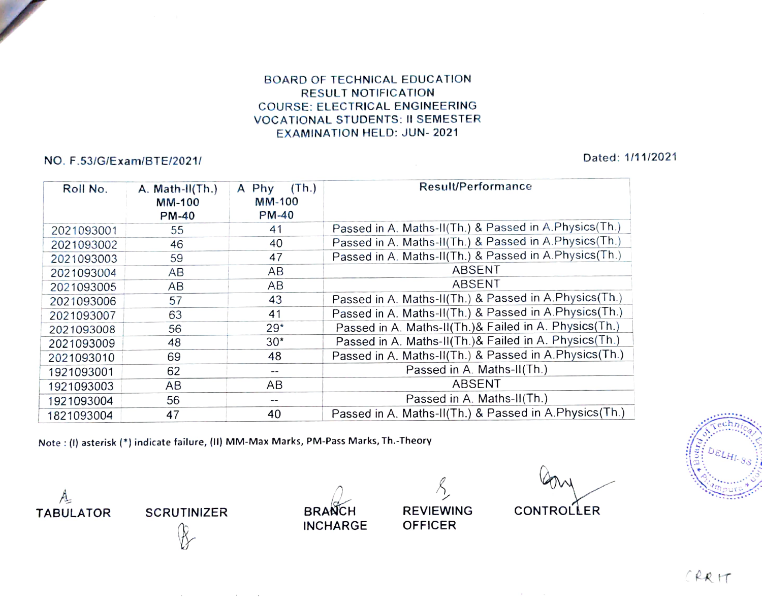## BOARD OF TECHNICAL EDUCATION RESULT NOTIFICATION cOURSE: ELECTRICAL ENGINEERING vOCATIONAL STUDENTS: II SEMESTER EXAMINATION HELD: JUN- 2021

## NO. F.53/G/Exam/BTE/2021/ Dated: 1/11/2021

| Roll No.   | A. Math-II(Th.)<br><b>MM-100</b><br><b>PM-40</b> | (Th.)<br>A Phy<br><b>MM-100</b><br>$PM-40$ | Result/Performance                                     |
|------------|--------------------------------------------------|--------------------------------------------|--------------------------------------------------------|
| 2021093001 | 55                                               | 41                                         | Passed in A. Maths-II(Th.) & Passed in A. Physics(Th.) |
| 2021093002 | 46                                               | 40                                         | Passed in A. Maths-II(Th.) & Passed in A. Physics(Th.) |
| 2021093003 | 59                                               | 47                                         | Passed in A. Maths-II(Th.) & Passed in A. Physics(Th.) |
| 2021093004 | AB                                               | AB                                         | ABSENT                                                 |
| 2021093005 | AB                                               | AB                                         | ABSENT                                                 |
| 2021093006 | 57                                               | 43                                         | Passed in A. Maths-II(Th.) & Passed in A. Physics(Th.) |
| 2021093007 | 63                                               | 41                                         | Passed in A. Maths-II(Th.) & Passed in A. Physics(Th.) |
| 2021093008 | 56                                               | $29*$                                      | Passed in A. Maths-II(Th.)& Failed in A. Physics(Th.)  |
| 2021093009 | 48                                               | $30*$                                      | Passed in A. Maths-II(Th.)& Failed in A. Physics(Th.)  |
| 2021093010 | 69                                               | 48                                         | Passed in A. Maths-II(Th.) & Passed in A.Physics(Th.)  |
| 1921093001 | 62                                               | --                                         | Passed in A. Maths-II(Th.)                             |
| 1921093003 | AB                                               | AB                                         | ABSENT                                                 |
| 1921093004 | 56                                               | $-$                                        | Passed in A. Maths-II(Th.)                             |
| 1821093004 | 47                                               | 40                                         | Passed in A. Maths-II(Th.) & Passed in A.Physics(Th.)  |

Note : (I) asterisk (\*) indicate failure, (II) MM-Max Marks, PM-Pass Marks, Th.-Theory

and a strategic

**INCHARGE** 

TABULATOR SCRUTINIZER BRANCH REVIEWING CONTROLLER

 $A = \frac{1}{2}$ 

CRRIT